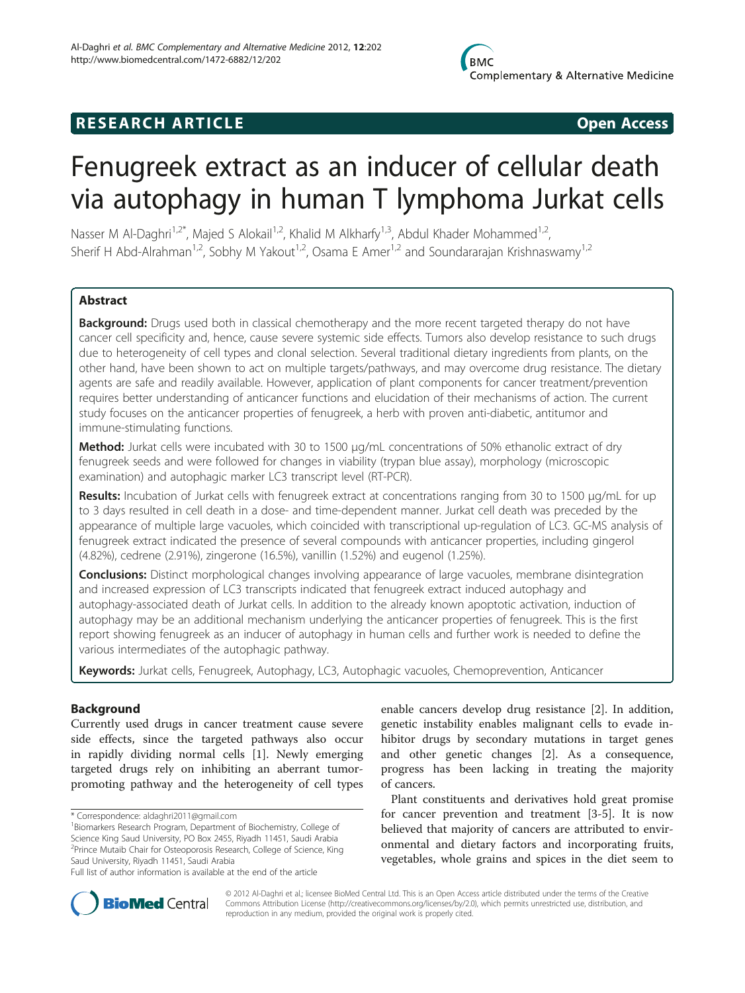## **RESEARCH ARTICLE Example 2018 12:00 Open Access**

# Fenugreek extract as an inducer of cellular death via autophagy in human T lymphoma Jurkat cells

Nasser M Al-Daghri<sup>1,2\*</sup>, Majed S Alokail<sup>1,2</sup>, Khalid M Alkharfy<sup>1,3</sup>, Abdul Khader Mohammed<sup>1,2</sup>, Sherif H Abd-Alrahman<sup>1,2</sup>, Sobhy M Yakout<sup>1,2</sup>, Osama E Amer<sup>1,2</sup> and Soundararajan Krishnaswamy<sup>1,2</sup>

## **Abstract**

Background: Drugs used both in classical chemotherapy and the more recent targeted therapy do not have cancer cell specificity and, hence, cause severe systemic side effects. Tumors also develop resistance to such drugs due to heterogeneity of cell types and clonal selection. Several traditional dietary ingredients from plants, on the other hand, have been shown to act on multiple targets/pathways, and may overcome drug resistance. The dietary agents are safe and readily available. However, application of plant components for cancer treatment/prevention requires better understanding of anticancer functions and elucidation of their mechanisms of action. The current study focuses on the anticancer properties of fenugreek, a herb with proven anti-diabetic, antitumor and immune-stimulating functions.

**Method:** Jurkat cells were incubated with 30 to 1500 μg/mL concentrations of 50% ethanolic extract of dry fenugreek seeds and were followed for changes in viability (trypan blue assay), morphology (microscopic examination) and autophagic marker LC3 transcript level (RT-PCR).

Results: Incubation of Jurkat cells with fenugreek extract at concentrations ranging from 30 to 1500 μg/mL for up to 3 days resulted in cell death in a dose- and time-dependent manner. Jurkat cell death was preceded by the appearance of multiple large vacuoles, which coincided with transcriptional up-regulation of LC3. GC-MS analysis of fenugreek extract indicated the presence of several compounds with anticancer properties, including gingerol (4.82%), cedrene (2.91%), zingerone (16.5%), vanillin (1.52%) and eugenol (1.25%).

**Conclusions:** Distinct morphological changes involving appearance of large vacuoles, membrane disintegration and increased expression of LC3 transcripts indicated that fenugreek extract induced autophagy and autophagy-associated death of Jurkat cells. In addition to the already known apoptotic activation, induction of autophagy may be an additional mechanism underlying the anticancer properties of fenugreek. This is the first report showing fenugreek as an inducer of autophagy in human cells and further work is needed to define the various intermediates of the autophagic pathway.

Keywords: Jurkat cells, Fenugreek, Autophagy, LC3, Autophagic vacuoles, Chemoprevention, Anticancer

#### Background

Currently used drugs in cancer treatment cause severe side effects, since the targeted pathways also occur in rapidly dividing normal cells [[1\]](#page-6-0). Newly emerging targeted drugs rely on inhibiting an aberrant tumorpromoting pathway and the heterogeneity of cell types

enable cancers develop drug resistance [[2\]](#page-6-0). In addition, genetic instability enables malignant cells to evade inhibitor drugs by secondary mutations in target genes and other genetic changes [\[2](#page-6-0)]. As a consequence, progress has been lacking in treating the majority of cancers.

Plant constituents and derivatives hold great promise for cancer prevention and treatment [\[3-5](#page-6-0)]. It is now believed that majority of cancers are attributed to environmental and dietary factors and incorporating fruits, vegetables, whole grains and spices in the diet seem to



© 2012 Al-Daghri et al.; licensee BioMed Central Ltd. This is an Open Access article distributed under the terms of the Creative Commons Attribution License [\(http://creativecommons.org/licenses/by/2.0\)](http://creativecommons.org/licenses/by/2.0), which permits unrestricted use, distribution, and reproduction in any medium, provided the original work is properly cited.

<sup>\*</sup> Correspondence: [aldaghri2011@gmail.com](mailto:aldaghri2011@gmail.com) <sup>1</sup>

<sup>&</sup>lt;sup>1</sup> Biomarkers Research Program, Department of Biochemistry, College of Science King Saud University, PO Box 2455, Riyadh 11451, Saudi Arabia <sup>2</sup>Prince Mutaib Chair for Osteoporosis Research, College of Science, King Saud University, Riyadh 11451, Saudi Arabia

Full list of author information is available at the end of the article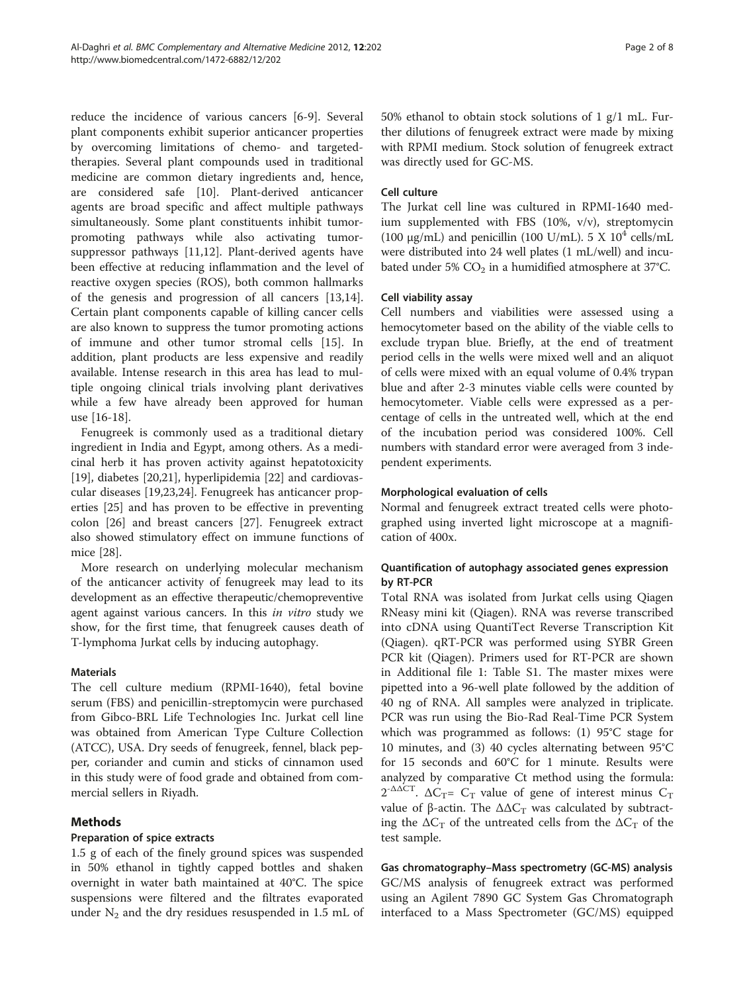reduce the incidence of various cancers [[6-9](#page-6-0)]. Several plant components exhibit superior anticancer properties by overcoming limitations of chemo- and targetedtherapies. Several plant compounds used in traditional medicine are common dietary ingredients and, hence, are considered safe [\[10\]](#page-6-0). Plant-derived anticancer agents are broad specific and affect multiple pathways simultaneously. Some plant constituents inhibit tumorpromoting pathways while also activating tumorsuppressor pathways [[11](#page-6-0),[12](#page-6-0)]. Plant-derived agents have been effective at reducing inflammation and the level of reactive oxygen species (ROS), both common hallmarks of the genesis and progression of all cancers [\[13,14](#page-6-0)]. Certain plant components capable of killing cancer cells are also known to suppress the tumor promoting actions of immune and other tumor stromal cells [[15\]](#page-7-0). In addition, plant products are less expensive and readily available. Intense research in this area has lead to multiple ongoing clinical trials involving plant derivatives while a few have already been approved for human use [\[16](#page-7-0)-[18](#page-7-0)].

Fenugreek is commonly used as a traditional dietary ingredient in India and Egypt, among others. As a medicinal herb it has proven activity against hepatotoxicity [[19\]](#page-7-0), diabetes [\[20,21](#page-7-0)], hyperlipidemia [[22](#page-7-0)] and cardiovascular diseases [[19](#page-7-0),[23](#page-7-0),[24](#page-7-0)]. Fenugreek has anticancer properties [[25\]](#page-7-0) and has proven to be effective in preventing colon [[26](#page-7-0)] and breast cancers [[27](#page-7-0)]. Fenugreek extract also showed stimulatory effect on immune functions of mice [\[28](#page-7-0)].

More research on underlying molecular mechanism of the anticancer activity of fenugreek may lead to its development as an effective therapeutic/chemopreventive agent against various cancers. In this in vitro study we show, for the first time, that fenugreek causes death of T-lymphoma Jurkat cells by inducing autophagy.

#### **Materials**

The cell culture medium (RPMI-1640), fetal bovine serum (FBS) and penicillin-streptomycin were purchased from Gibco-BRL Life Technologies Inc. Jurkat cell line was obtained from American Type Culture Collection (ATCC), USA. Dry seeds of fenugreek, fennel, black pepper, coriander and cumin and sticks of cinnamon used in this study were of food grade and obtained from commercial sellers in Riyadh.

## Methods

## Preparation of spice extracts

1.5 g of each of the finely ground spices was suspended in 50% ethanol in tightly capped bottles and shaken overnight in water bath maintained at 40°C. The spice suspensions were filtered and the filtrates evaporated under  $N_2$  and the dry residues resuspended in 1.5 mL of 50% ethanol to obtain stock solutions of 1 g/1 mL. Further dilutions of fenugreek extract were made by mixing with RPMI medium. Stock solution of fenugreek extract was directly used for GC-MS.

#### Cell culture

The Jurkat cell line was cultured in RPMI-1640 medium supplemented with FBS (10%, v/v), streptomycin (100  $\mu$ g/mL) and penicillin (100 U/mL). 5 X 10<sup>4</sup> cells/mL were distributed into 24 well plates (1 mL/well) and incubated under 5%  $CO<sub>2</sub>$  in a humidified atmosphere at 37°C.

## Cell viability assay

Cell numbers and viabilities were assessed using a hemocytometer based on the ability of the viable cells to exclude trypan blue. Briefly, at the end of treatment period cells in the wells were mixed well and an aliquot of cells were mixed with an equal volume of 0.4% trypan blue and after 2-3 minutes viable cells were counted by hemocytometer. Viable cells were expressed as a percentage of cells in the untreated well, which at the end of the incubation period was considered 100%. Cell numbers with standard error were averaged from 3 independent experiments.

#### Morphological evaluation of cells

Normal and fenugreek extract treated cells were photographed using inverted light microscope at a magnification of 400x.

## Quantification of autophagy associated genes expression by RT-PCR

Total RNA was isolated from Jurkat cells using Qiagen RNeasy mini kit (Qiagen). RNA was reverse transcribed into cDNA using QuantiTect Reverse Transcription Kit (Qiagen). qRT-PCR was performed using SYBR Green PCR kit (Qiagen). Primers used for RT-PCR are shown in Additional file [1](#page-6-0): Table S1. The master mixes were pipetted into a 96-well plate followed by the addition of 40 ng of RNA. All samples were analyzed in triplicate. PCR was run using the Bio-Rad Real-Time PCR System which was programmed as follows: (1) 95°C stage for 10 minutes, and (3) 40 cycles alternating between 95°C for 15 seconds and 60°C for 1 minute. Results were analyzed by comparative Ct method using the formula:  $2^{-\Delta\Delta CT}$ .  $\Delta C_T$ =  $C_T$  value of gene of interest minus  $C_T$ value of β-actin. The  $ΔΔC<sub>T</sub>$  was calculated by subtracting the  $\Delta C_T$  of the untreated cells from the  $\Delta C_T$  of the test sample.

Gas chromatography–Mass spectrometry (GC-MS) analysis GC/MS analysis of fenugreek extract was performed using an Agilent 7890 GC System Gas Chromatograph interfaced to a Mass Spectrometer (GC/MS) equipped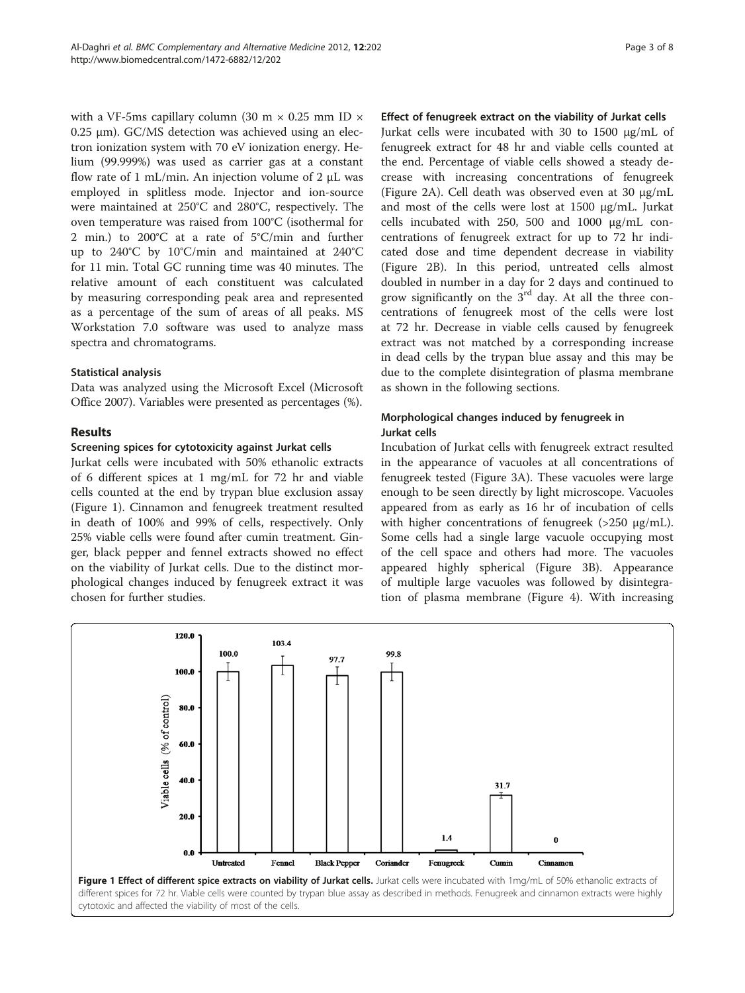with a VF-5ms capillary column (30 m  $\times$  0.25 mm ID  $\times$ 0.25 μm). GC/MS detection was achieved using an electron ionization system with 70 eV ionization energy. Helium (99.999%) was used as carrier gas at a constant flow rate of 1 mL/min. An injection volume of 2  $\mu$ L was employed in splitless mode. Injector and ion-source were maintained at 250°C and 280°C, respectively. The oven temperature was raised from 100°C (isothermal for 2 min.) to 200°C at a rate of 5°C/min and further up to 240°C by 10°C/min and maintained at 240°C for 11 min. Total GC running time was 40 minutes. The relative amount of each constituent was calculated by measuring corresponding peak area and represented as a percentage of the sum of areas of all peaks. MS Workstation 7.0 software was used to analyze mass spectra and chromatograms.

#### Statistical analysis

Data was analyzed using the Microsoft Excel (Microsoft Office 2007). Variables were presented as percentages (%).

## Results

#### Screening spices for cytotoxicity against Jurkat cells

Jurkat cells were incubated with 50% ethanolic extracts of 6 different spices at 1 mg/mL for 72 hr and viable cells counted at the end by trypan blue exclusion assay (Figure 1). Cinnamon and fenugreek treatment resulted in death of 100% and 99% of cells, respectively. Only 25% viable cells were found after cumin treatment. Ginger, black pepper and fennel extracts showed no effect on the viability of Jurkat cells. Due to the distinct morphological changes induced by fenugreek extract it was chosen for further studies.

#### Effect of fenugreek extract on the viability of Jurkat cells

Jurkat cells were incubated with 30 to 1500 μg/mL of fenugreek extract for 48 hr and viable cells counted at the end. Percentage of viable cells showed a steady decrease with increasing concentrations of fenugreek (Figure [2A](#page-3-0)). Cell death was observed even at 30 μg/mL and most of the cells were lost at 1500 μg/mL. Jurkat cells incubated with 250, 500 and 1000 μg/mL concentrations of fenugreek extract for up to 72 hr indicated dose and time dependent decrease in viability (Figure [2B\)](#page-3-0). In this period, untreated cells almost doubled in number in a day for 2 days and continued to grow significantly on the  $3<sup>rd</sup>$  day. At all the three concentrations of fenugreek most of the cells were lost at 72 hr. Decrease in viable cells caused by fenugreek extract was not matched by a corresponding increase in dead cells by the trypan blue assay and this may be due to the complete disintegration of plasma membrane as shown in the following sections.

## Morphological changes induced by fenugreek in Jurkat cells

Incubation of Jurkat cells with fenugreek extract resulted in the appearance of vacuoles at all concentrations of fenugreek tested (Figure [3A\)](#page-4-0). These vacuoles were large enough to be seen directly by light microscope. Vacuoles appeared from as early as 16 hr of incubation of cells with higher concentrations of fenugreek (>250 μg/mL). Some cells had a single large vacuole occupying most of the cell space and others had more. The vacuoles appeared highly spherical (Figure [3B](#page-4-0)). Appearance of multiple large vacuoles was followed by disintegration of plasma membrane (Figure [4\)](#page-4-0). With increasing



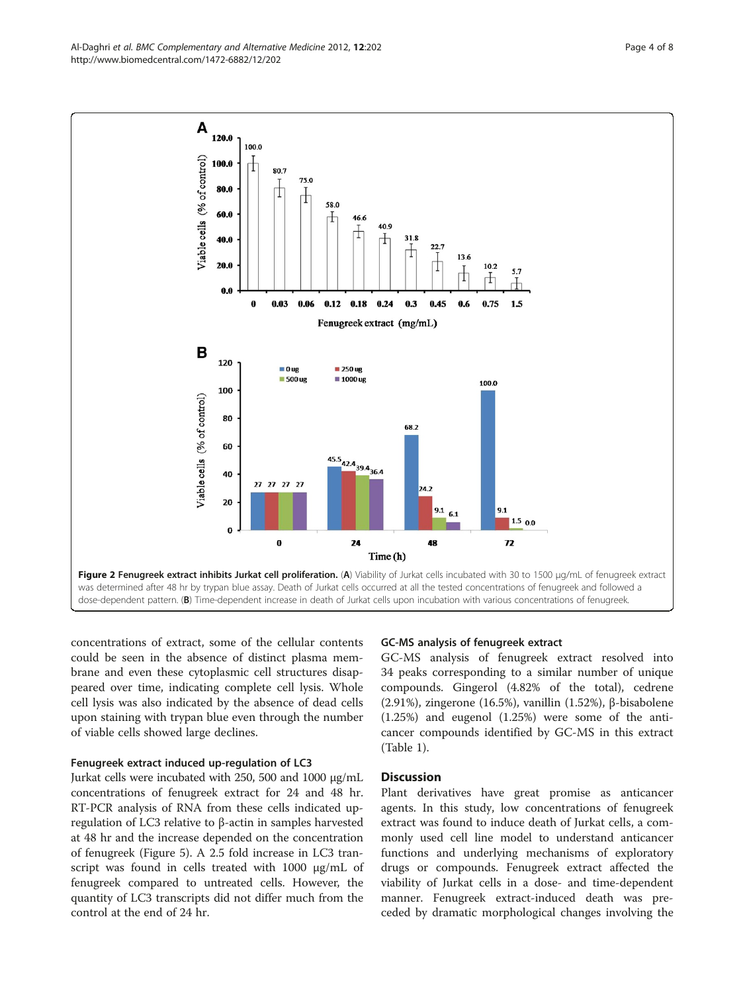concentrations of extract, some of the cellular contents could be seen in the absence of distinct plasma membrane and even these cytoplasmic cell structures disappeared over time, indicating complete cell lysis. Whole cell lysis was also indicated by the absence of dead cells upon staining with trypan blue even through the number of viable cells showed large declines.

#### Fenugreek extract induced up-regulation of LC3

Jurkat cells were incubated with 250, 500 and 1000 μg/mL concentrations of fenugreek extract for 24 and 48 hr. RT-PCR analysis of RNA from these cells indicated upregulation of LC3 relative to β-actin in samples harvested at 48 hr and the increase depended on the concentration of fenugreek (Figure [5](#page-5-0)). A 2.5 fold increase in LC3 transcript was found in cells treated with 1000 μg/mL of fenugreek compared to untreated cells. However, the quantity of LC3 transcripts did not differ much from the control at the end of 24 hr.

## GC-MS analysis of fenugreek extract

GC-MS analysis of fenugreek extract resolved into 34 peaks corresponding to a similar number of unique compounds. Gingerol (4.82% of the total), cedrene (2.91%), zingerone (16.5%), vanillin (1.52%), β-bisabolene (1.25%) and eugenol (1.25%) were some of the anticancer compounds identified by GC-MS in this extract (Table [1\)](#page-5-0).

#### **Discussion**

Plant derivatives have great promise as anticancer agents. In this study, low concentrations of fenugreek extract was found to induce death of Jurkat cells, a commonly used cell line model to understand anticancer functions and underlying mechanisms of exploratory drugs or compounds. Fenugreek extract affected the viability of Jurkat cells in a dose- and time-dependent manner. Fenugreek extract-induced death was preceded by dramatic morphological changes involving the

<span id="page-3-0"></span>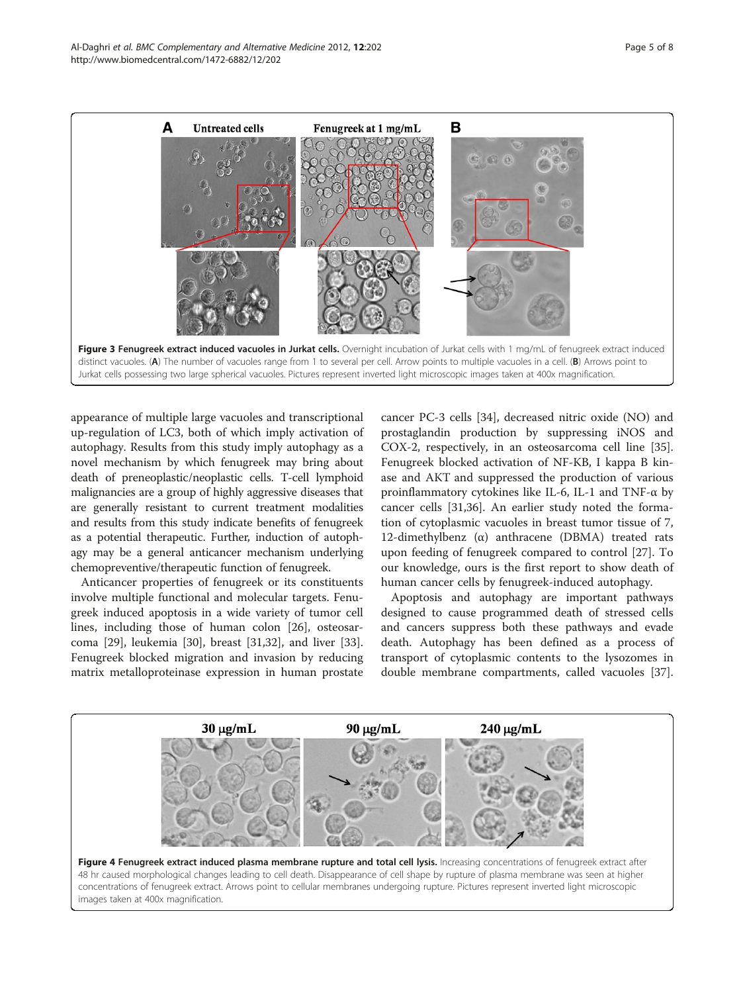<span id="page-4-0"></span>

appearance of multiple large vacuoles and transcriptional up-regulation of LC3, both of which imply activation of autophagy. Results from this study imply autophagy as a novel mechanism by which fenugreek may bring about death of preneoplastic/neoplastic cells. T-cell lymphoid malignancies are a group of highly aggressive diseases that are generally resistant to current treatment modalities and results from this study indicate benefits of fenugreek as a potential therapeutic. Further, induction of autophagy may be a general anticancer mechanism underlying chemopreventive/therapeutic function of fenugreek.

Anticancer properties of fenugreek or its constituents involve multiple functional and molecular targets. Fenugreek induced apoptosis in a wide variety of tumor cell lines, including those of human colon [\[26\]](#page-7-0), osteosarcoma [[29\]](#page-7-0), leukemia [\[30\]](#page-7-0), breast [\[31,32\]](#page-7-0), and liver [\[33](#page-7-0)]. Fenugreek blocked migration and invasion by reducing matrix metalloproteinase expression in human prostate

cancer PC-3 cells [\[34](#page-7-0)], decreased nitric oxide (NO) and prostaglandin production by suppressing iNOS and COX-2, respectively, in an osteosarcoma cell line [\[35](#page-7-0)]. Fenugreek blocked activation of NF-KB, I kappa B kinase and AKT and suppressed the production of various proinflammatory cytokines like IL-6, IL-1 and TNF-α by cancer cells [\[31,36\]](#page-7-0). An earlier study noted the formation of cytoplasmic vacuoles in breast tumor tissue of 7, 12-dimethylbenz (α) anthracene (DBMA) treated rats upon feeding of fenugreek compared to control [\[27](#page-7-0)]. To our knowledge, ours is the first report to show death of human cancer cells by fenugreek-induced autophagy.

Apoptosis and autophagy are important pathways designed to cause programmed death of stressed cells and cancers suppress both these pathways and evade death. Autophagy has been defined as a process of transport of cytoplasmic contents to the lysozomes in double membrane compartments, called vacuoles [\[37](#page-7-0)].

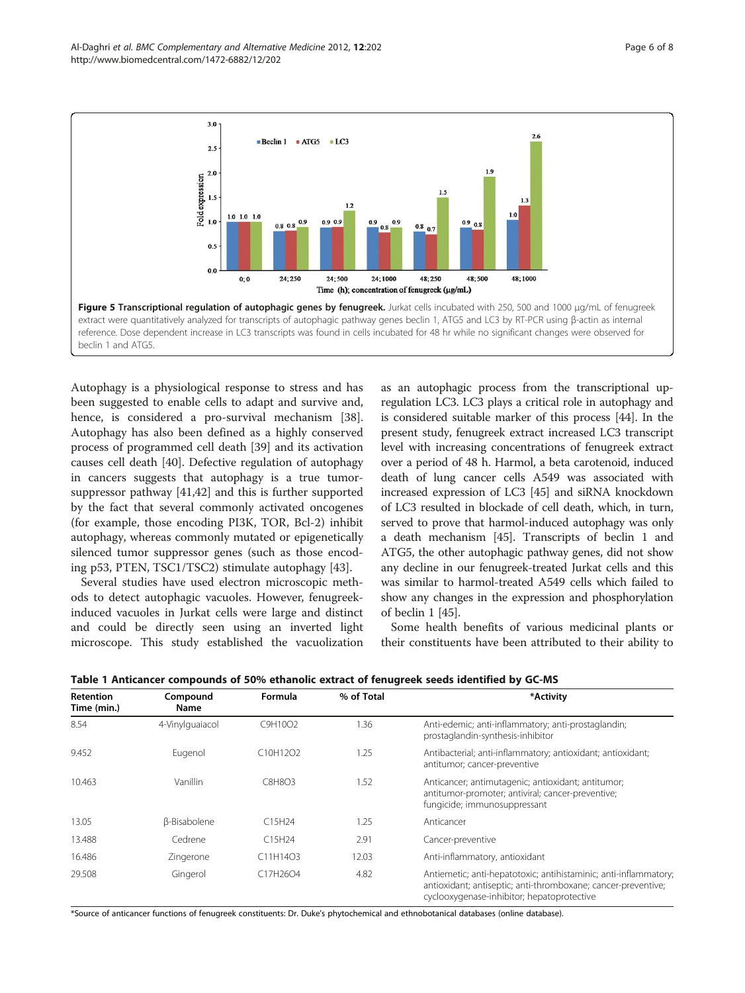<span id="page-5-0"></span>

Autophagy is a physiological response to stress and has been suggested to enable cells to adapt and survive and, hence, is considered a pro-survival mechanism [\[38](#page-7-0)]. Autophagy has also been defined as a highly conserved process of programmed cell death [[39](#page-7-0)] and its activation causes cell death [[40](#page-7-0)]. Defective regulation of autophagy in cancers suggests that autophagy is a true tumorsuppressor pathway [[41,42\]](#page-7-0) and this is further supported by the fact that several commonly activated oncogenes (for example, those encoding PI3K, TOR, Bcl-2) inhibit autophagy, whereas commonly mutated or epigenetically silenced tumor suppressor genes (such as those encoding p53, PTEN, TSC1/TSC2) stimulate autophagy [[43](#page-7-0)].

Several studies have used electron microscopic methods to detect autophagic vacuoles. However, fenugreekinduced vacuoles in Jurkat cells were large and distinct and could be directly seen using an inverted light microscope. This study established the vacuolization

as an autophagic process from the transcriptional upregulation LC3. LC3 plays a critical role in autophagy and is considered suitable marker of this process [\[44\]](#page-7-0). In the present study, fenugreek extract increased LC3 transcript level with increasing concentrations of fenugreek extract over a period of 48 h. Harmol, a beta carotenoid, induced death of lung cancer cells A549 was associated with increased expression of LC3 [\[45\]](#page-7-0) and siRNA knockdown of LC3 resulted in blockade of cell death, which, in turn, served to prove that harmol-induced autophagy was only a death mechanism [\[45\]](#page-7-0). Transcripts of beclin 1 and ATG5, the other autophagic pathway genes, did not show any decline in our fenugreek-treated Jurkat cells and this was similar to harmol-treated A549 cells which failed to show any changes in the expression and phosphorylation of beclin 1 [\[45](#page-7-0)].

Some health benefits of various medicinal plants or their constituents have been attributed to their ability to

| <b>Retention</b><br>Time (min.) | Compound<br><b>Name</b> | Formula                                        | % of Total | *Activity                                                                                                                                                                       |
|---------------------------------|-------------------------|------------------------------------------------|------------|---------------------------------------------------------------------------------------------------------------------------------------------------------------------------------|
| 8.54                            | 4-Vinylguaiacol         | C9H10O2                                        | 1.36       | Anti-edemic; anti-inflammatory; anti-prostaglandin;<br>prostaglandin-synthesis-inhibitor                                                                                        |
| 9.452                           | Eugenol                 | C <sub>10</sub> H <sub>12</sub> O <sub>2</sub> | 1.25       | Antibacterial; anti-inflammatory; antioxidant; antioxidant;<br>antitumor; cancer-preventive                                                                                     |
| 10.463                          | Vanillin                | C8H8O3                                         | 1.52       | Anticancer; antimutagenic; antioxidant; antitumor;<br>antitumor-promoter; antiviral; cancer-preventive;<br>fungicide; immunosuppressant                                         |
| 13.05                           | <b>ß-Bisabolene</b>     | C15H24                                         | 1.25       | Anticancer                                                                                                                                                                      |
| 13.488                          | Cedrene                 | C15H24                                         | 2.91       | Cancer-preventive                                                                                                                                                               |
| 16.486                          | Zingerone               | C11H14O3                                       | 12.03      | Anti-inflammatory, antioxidant                                                                                                                                                  |
| 29.508                          | Gingerol                | C17H26O4                                       | 4.82       | Antiemetic; anti-hepatotoxic; antihistaminic; anti-inflammatory;<br>antioxidant; antiseptic; anti-thromboxane; cancer-preventive;<br>cyclooxygenase-inhibitor; hepatoprotective |

Table 1 Anticancer compounds of 50% ethanolic extract of fenugreek seeds identified by GC-MS

\*Source of anticancer functions of fenugreek constituents: Dr. Duke's phytochemical and ethnobotanical databases (online database).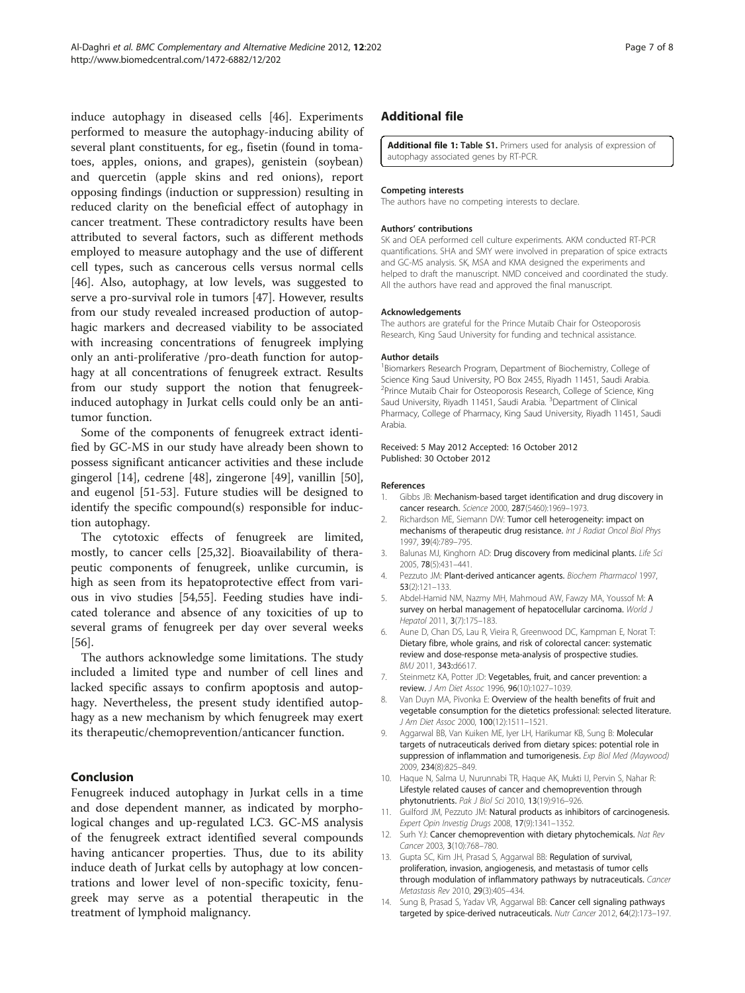<span id="page-6-0"></span>induce autophagy in diseased cells [\[46](#page-7-0)]. Experiments performed to measure the autophagy-inducing ability of several plant constituents, for eg., fisetin (found in tomatoes, apples, onions, and grapes), genistein (soybean) and quercetin (apple skins and red onions), report opposing findings (induction or suppression) resulting in reduced clarity on the beneficial effect of autophagy in cancer treatment. These contradictory results have been attributed to several factors, such as different methods employed to measure autophagy and the use of different cell types, such as cancerous cells versus normal cells [[46\]](#page-7-0). Also, autophagy, at low levels, was suggested to serve a pro-survival role in tumors [[47\]](#page-7-0). However, results from our study revealed increased production of autophagic markers and decreased viability to be associated with increasing concentrations of fenugreek implying only an anti-proliferative /pro-death function for autophagy at all concentrations of fenugreek extract. Results from our study support the notion that fenugreekinduced autophagy in Jurkat cells could only be an antitumor function.

Some of the components of fenugreek extract identified by GC-MS in our study have already been shown to possess significant anticancer activities and these include gingerol [14], cedrene [\[48](#page-7-0)], zingerone [[49\]](#page-7-0), vanillin [\[50](#page-7-0)], and eugenol [[51-53\]](#page-7-0). Future studies will be designed to identify the specific compound(s) responsible for induction autophagy.

The cytotoxic effects of fenugreek are limited, mostly, to cancer cells [\[25,32](#page-7-0)]. Bioavailability of therapeutic components of fenugreek, unlike curcumin, is high as seen from its hepatoprotective effect from various in vivo studies [\[54,55](#page-7-0)]. Feeding studies have indicated tolerance and absence of any toxicities of up to several grams of fenugreek per day over several weeks [[56\]](#page-7-0).

The authors acknowledge some limitations. The study included a limited type and number of cell lines and lacked specific assays to confirm apoptosis and autophagy. Nevertheless, the present study identified autophagy as a new mechanism by which fenugreek may exert its therapeutic/chemoprevention/anticancer function.

#### Conclusion

Fenugreek induced autophagy in Jurkat cells in a time and dose dependent manner, as indicated by morphological changes and up-regulated LC3. GC-MS analysis of the fenugreek extract identified several compounds having anticancer properties. Thus, due to its ability induce death of Jurkat cells by autophagy at low concentrations and lower level of non-specific toxicity, fenugreek may serve as a potential therapeutic in the treatment of lymphoid malignancy.

## Additional file

[Additional file 1:](http://www.biomedcentral.com/content/supplementary/1472-6882-12-202-S1.doc) Table S1. Primers used for analysis of expression of autophagy associated genes by RT-PCR.

#### Competing interests

The authors have no competing interests to declare.

#### Authors' contributions

SK and OEA performed cell culture experiments. AKM conducted RT-PCR quantifications. SHA and SMY were involved in preparation of spice extracts and GC-MS analysis. SK, MSA and KMA designed the experiments and helped to draft the manuscript. NMD conceived and coordinated the study. All the authors have read and approved the final manuscript.

#### Acknowledgements

The authors are grateful for the Prince Mutaib Chair for Osteoporosis Research, King Saud University for funding and technical assistance.

#### Author details

<sup>1</sup> Biomarkers Research Program, Department of Biochemistry, College of Science King Saud University, PO Box 2455, Riyadh 11451, Saudi Arabia. <sup>2</sup>Prince Mutaib Chair for Osteoporosis Research, College of Science, King Saud University, Riyadh 11451, Saudi Arabia. <sup>3</sup>Department of Clinical Pharmacy, College of Pharmacy, King Saud University, Riyadh 11451, Saudi Arabia.

#### Received: 5 May 2012 Accepted: 16 October 2012 Published: 30 October 2012

#### References

- 1. Gibbs JB: Mechanism-based target identification and drug discovery in cancer research. Science 2000, 287(5460):1969–1973.
- 2. Richardson ME, Siemann DW: Tumor cell heterogeneity: impact on mechanisms of therapeutic drug resistance. Int J Radiat Oncol Biol Phys 1997, 39(4):789–795.
- 3. Balunas MJ, Kinghorn AD: Drug discovery from medicinal plants. Life Sci 2005, 78(5):431–441.
- 4. Pezzuto JM: Plant-derived anticancer agents. Biochem Pharmacol 1997, 53(2):121–133.
- 5. Abdel-Hamid NM, Nazmy MH, Mahmoud AW, Fawzy MA, Youssof M: A survey on herbal management of hepatocellular carcinoma. World J Hepatol 2011, 3(7):175–183.
- 6. Aune D, Chan DS, Lau R, Vieira R, Greenwood DC, Kampman E, Norat T: Dietary fibre, whole grains, and risk of colorectal cancer: systematic review and dose-response meta-analysis of prospective studies. BMJ 2011, 343:d6617.
- 7. Steinmetz KA, Potter JD: Vegetables, fruit, and cancer prevention: a review. J Am Diet Assoc 1996, 96(10):1027–1039.
- 8. Van Duyn MA, Pivonka E: Overview of the health benefits of fruit and vegetable consumption for the dietetics professional: selected literature. J Am Diet Assoc 2000, 100(12):1511–1521.
- Aggarwal BB, Van Kuiken ME, Iyer LH, Harikumar KB, Sung B: Molecular targets of nutraceuticals derived from dietary spices: potential role in suppression of inflammation and tumorigenesis. Exp Biol Med (Maywood) 2009, 234(8):825–849.
- 10. Haque N, Salma U, Nurunnabi TR, Haque AK, Mukti IJ, Pervin S, Nahar R: Lifestyle related causes of cancer and chemoprevention through phytonutrients. Pak J Biol Sci 2010, 13(19):916–926.
- 11. Guilford JM, Pezzuto JM: Natural products as inhibitors of carcinogenesis. Expert Opin Investig Drugs 2008, 17(9):1341–1352.
- 12. Surh YJ: Cancer chemoprevention with dietary phytochemicals. Nat Rev Cancer 2003, 3(10):768–780.
- 13. Gupta SC, Kim JH, Prasad S, Aggarwal BB: Regulation of survival, proliferation, invasion, angiogenesis, and metastasis of tumor cells through modulation of inflammatory pathways by nutraceuticals. Cancer Metastasis Rev 2010, 29(3):405–434.
- 14. Sung B, Prasad S, Yadav VR, Aggarwal BB: Cancer cell signaling pathways targeted by spice-derived nutraceuticals. Nutr Cancer 2012, 64(2):173-197.